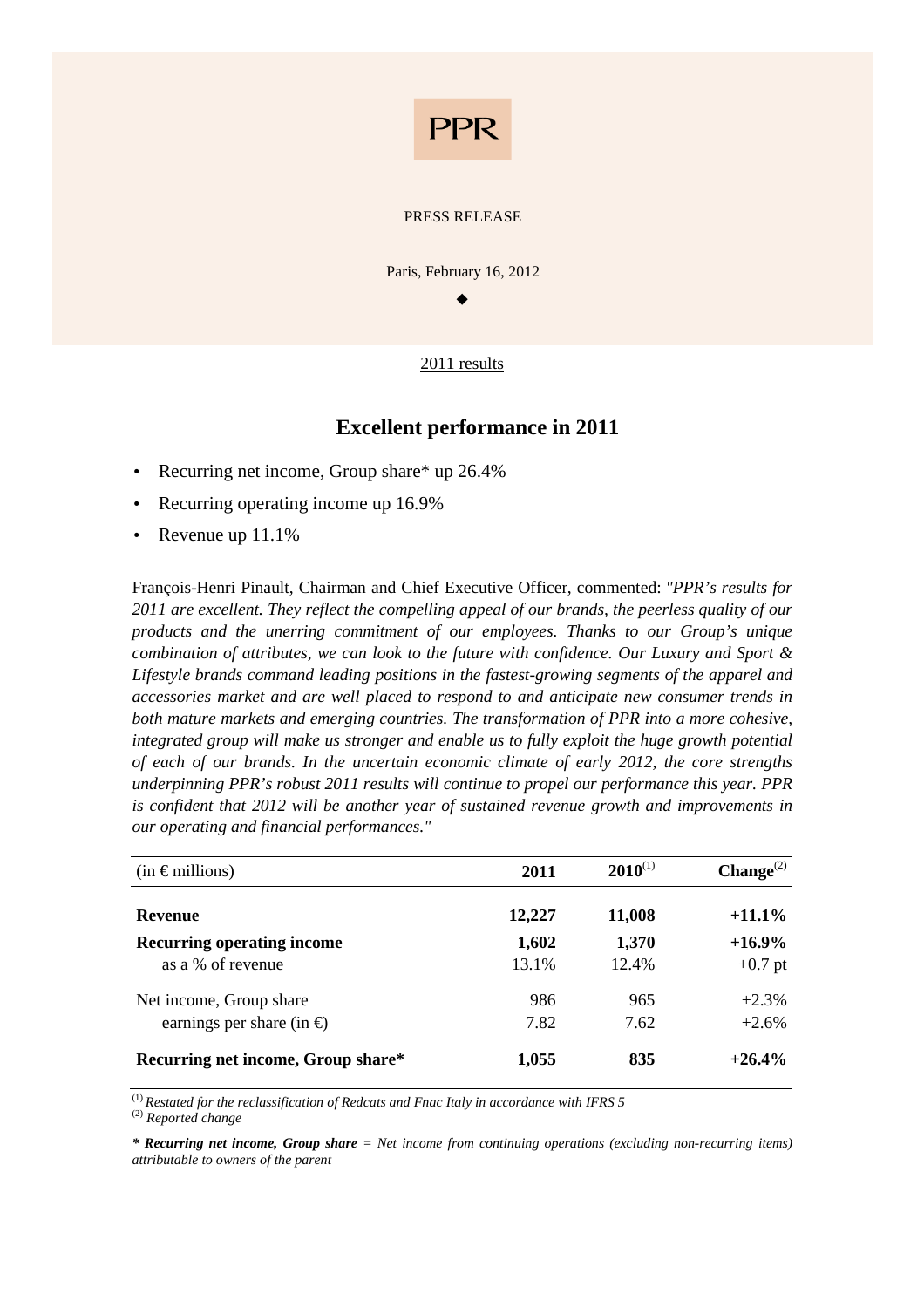

#### PRESS RELEASE

Paris, February 16, 2012

 $\bullet$ 

## 2011 results

## **Excellent performance in 2011**

- Recurring net income, Group share\* up 26.4%
- Recurring operating income up 16.9%
- Revenue up 11.1%

François-Henri Pinault, Chairman and Chief Executive Officer, commented: *"PPR's results for 2011 are excellent. They reflect the compelling appeal of our brands, the peerless quality of our products and the unerring commitment of our employees. Thanks to our Group's unique combination of attributes, we can look to the future with confidence. Our Luxury and Sport & Lifestyle brands command leading positions in the fastest-growing segments of the apparel and accessories market and are well placed to respond to and anticipate new consumer trends in both mature markets and emerging countries. The transformation of PPR into a more cohesive, integrated group will make us stronger and enable us to fully exploit the huge growth potential of each of our brands. In the uncertain economic climate of early 2012, the core strengths underpinning PPR's robust 2011 results will continue to propel our performance this year. PPR is confident that 2012 will be another year of sustained revenue growth and improvements in our operating and financial performances."* 

| $(in \in$ millions)                 | 2011   | $2010^{(1)}$ | Change <sup>(2)</sup> |
|-------------------------------------|--------|--------------|-----------------------|
| <b>Revenue</b>                      | 12,227 | 11,008       | $+11.1\%$             |
| <b>Recurring operating income</b>   | 1,602  | 1,370        | $+16.9\%$             |
| as a % of revenue                   | 13.1%  | 12.4%        | $+0.7$ pt             |
| Net income, Group share             | 986    | 965          | $+2.3%$               |
| earnings per share (in $\epsilon$ ) | 7.82   | 7.62         | $+2.6%$               |
| Recurring net income, Group share*  | 1,055  | 835          | $+26.4%$              |

(1) *Restated for the reclassification of Redcats and Fnac Italy in accordance with IFRS 5* 

(2) *Reported change* 

*\* Recurring net income, Group share = Net income from continuing operations (excluding non-recurring items) attributable to owners of the parent*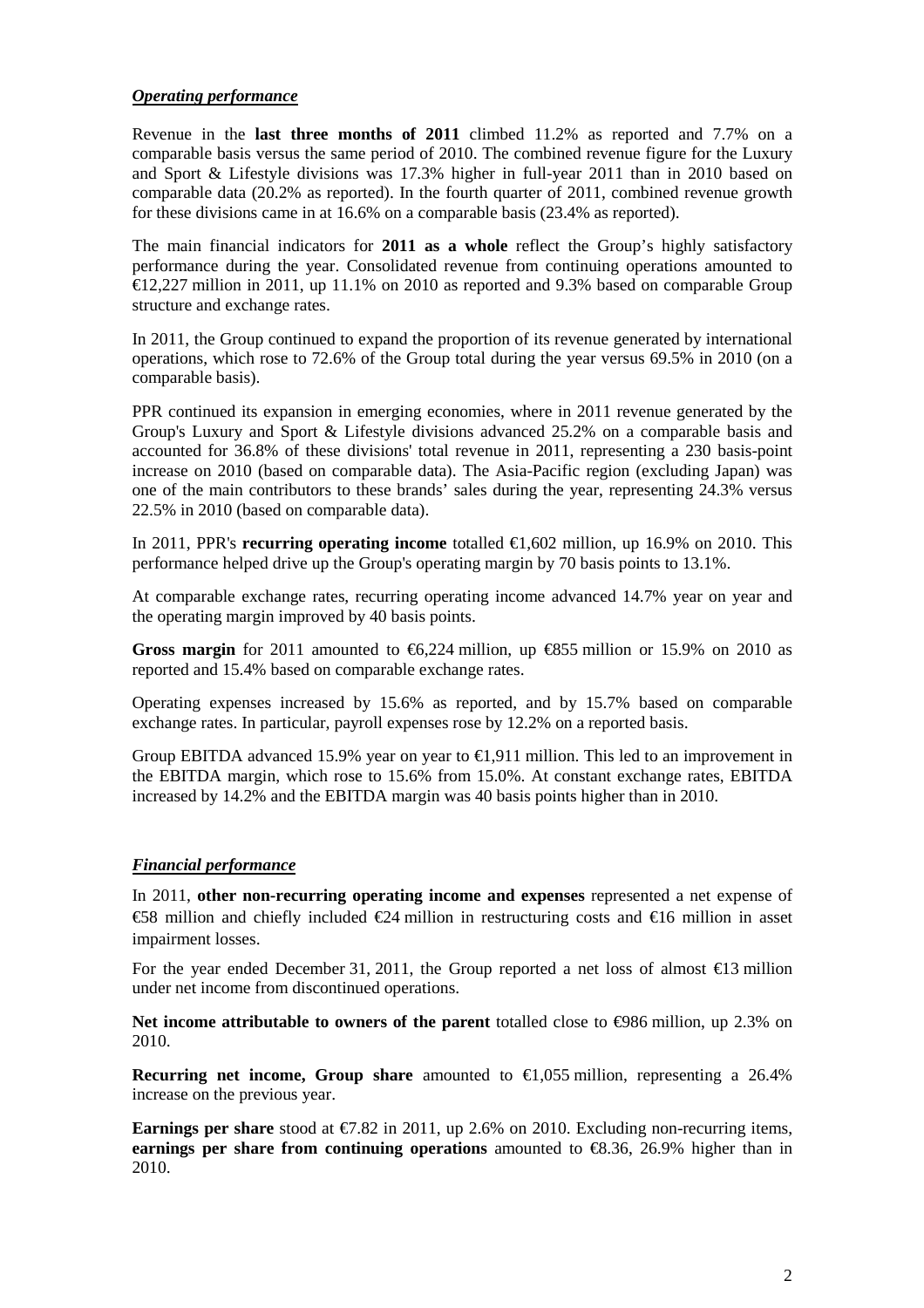### *Operating performance*

Revenue in the **last three months of 2011** climbed 11.2% as reported and 7.7% on a comparable basis versus the same period of 2010. The combined revenue figure for the Luxury and Sport & Lifestyle divisions was 17.3% higher in full-year 2011 than in 2010 based on comparable data (20.2% as reported). In the fourth quarter of 2011, combined revenue growth for these divisions came in at 16.6% on a comparable basis (23.4% as reported).

The main financial indicators for **2011 as a whole** reflect the Group's highly satisfactory performance during the year. Consolidated revenue from continuing operations amounted to €12,227 million in 2011, up 11.1% on 2010 as reported and 9.3% based on comparable Group structure and exchange rates.

In 2011, the Group continued to expand the proportion of its revenue generated by international operations, which rose to 72.6% of the Group total during the year versus 69.5% in 2010 (on a comparable basis).

PPR continued its expansion in emerging economies, where in 2011 revenue generated by the Group's Luxury and Sport & Lifestyle divisions advanced 25.2% on a comparable basis and accounted for 36.8% of these divisions' total revenue in 2011, representing a 230 basis-point increase on 2010 (based on comparable data). The Asia-Pacific region (excluding Japan) was one of the main contributors to these brands' sales during the year, representing 24.3% versus 22.5% in 2010 (based on comparable data).

In 2011, PPR's **recurring operating income** totalled €1,602 million, up 16.9% on 2010. This performance helped drive up the Group's operating margin by 70 basis points to 13.1%.

At comparable exchange rates, recurring operating income advanced 14.7% year on year and the operating margin improved by 40 basis points.

**Gross margin** for 2011 amounted to  $\epsilon$ 6,224 million, up  $\epsilon$ 855 million or 15.9% on 2010 as reported and 15.4% based on comparable exchange rates.

Operating expenses increased by 15.6% as reported, and by 15.7% based on comparable exchange rates. In particular, payroll expenses rose by 12.2% on a reported basis.

Group EBITDA advanced 15.9% year on year to  $\epsilon$ 1,911 million. This led to an improvement in the EBITDA margin, which rose to 15.6% from 15.0%. At constant exchange rates, EBITDA increased by 14.2% and the EBITDA margin was 40 basis points higher than in 2010.

## *Financial performance*

In 2011, **other non-recurring operating income and expenses** represented a net expense of  $€58$  million and chiefly included  $€24$  million in restructuring costs and  $€16$  million in asset impairment losses.

For the year ended December 31, 2011, the Group reported a net loss of almost  $\epsilon$ 13 million under net income from discontinued operations.

**Net income attributable to owners of the parent** totalled close to €986 million, up 2.3% on 2010.

**Recurring net income, Group share** amounted to  $\epsilon$ 1,055 million, representing a 26.4% increase on the previous year.

**Earnings per share** stood at €7.82 in 2011, up 2.6% on 2010. Excluding non-recurring items, **earnings per share from continuing operations** amounted to  $\epsilon$ 8.36, 26.9% higher than in 2010.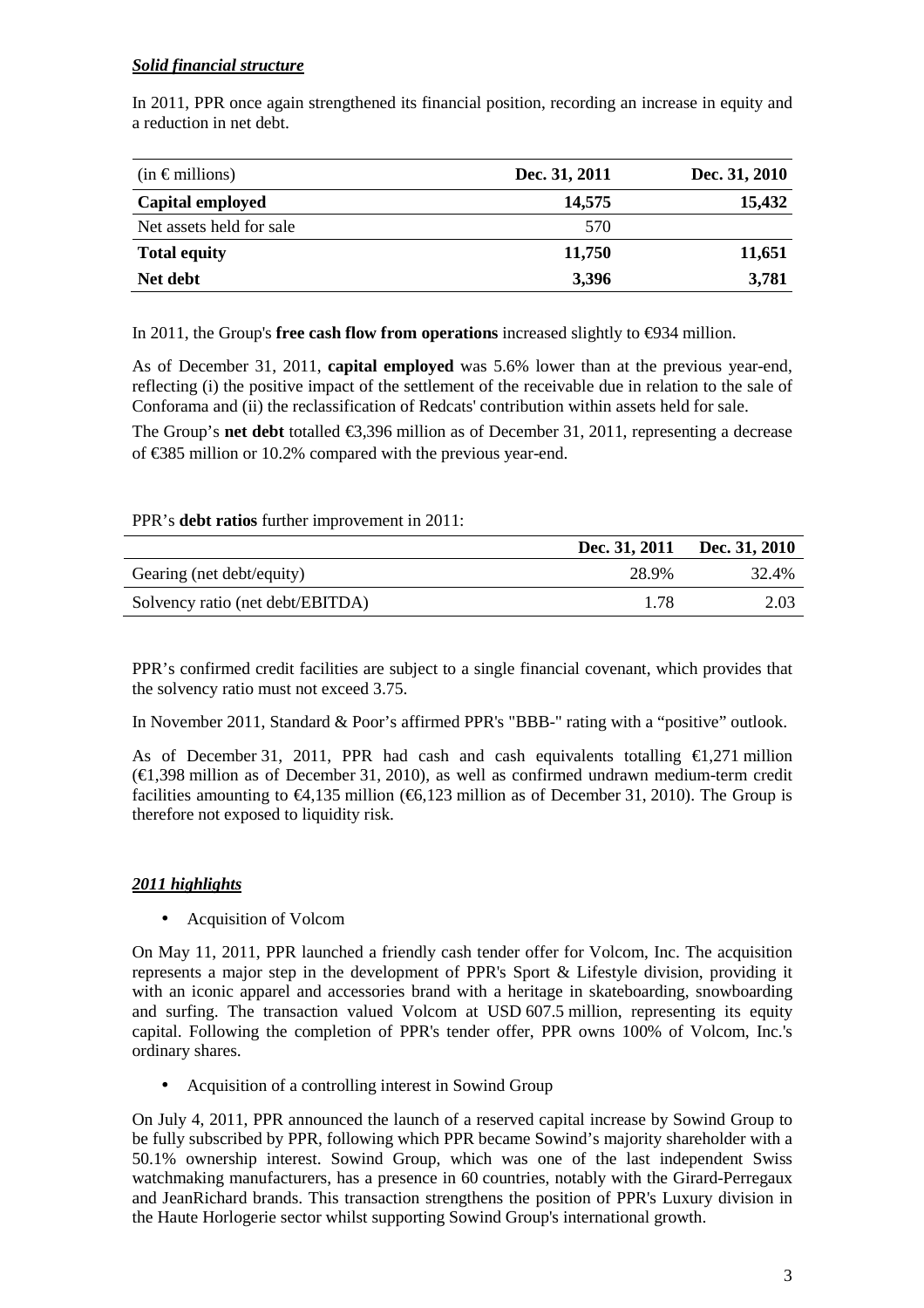## *Solid financial structure*

In 2011, PPR once again strengthened its financial position, recording an increase in equity and a reduction in net debt.

| $(in \in$ millions)      | Dec. 31, 2011 | Dec. 31, 2010 |
|--------------------------|---------------|---------------|
| Capital employed         | 14,575        | 15,432        |
| Net assets held for sale | 570           |               |
| <b>Total equity</b>      | 11,750        | 11,651        |
| Net debt                 | 3,396         | 3,781         |

In 2011, the Group's **free cash flow from operations** increased slightly to €934 million.

As of December 31, 2011, **capital employed** was 5.6% lower than at the previous year-end, reflecting (i) the positive impact of the settlement of the receivable due in relation to the sale of Conforama and (ii) the reclassification of Redcats' contribution within assets held for sale.

The Group's **net debt** totalled  $\epsilon$ 3,396 million as of December 31, 2011, representing a decrease of €385 million or 10.2% compared with the previous year-end.

## PPR's **debt ratios** further improvement in 2011:

|                                  | Dec. 31, 2011 | Dec. 31, 2010 |
|----------------------------------|---------------|---------------|
| Gearing (net debt/equity)        | 28.9%         | 32.4%         |
| Solvency ratio (net debt/EBITDA) | 1 78          | 2.03          |

PPR's confirmed credit facilities are subject to a single financial covenant, which provides that the solvency ratio must not exceed 3.75.

In November 2011, Standard & Poor's affirmed PPR's "BBB-" rating with a "positive" outlook.

As of December 31, 2011, PPR had cash and cash equivalents totalling  $\epsilon$ 1,271 million  $(\text{€}1,398 \text{ million as of December 31, } 2010)$ , as well as confirmed undrawn medium-term credit facilities amounting to  $\epsilon$ 4,135 million ( $\epsilon$ 6,123 million as of December 31, 2010). The Group is therefore not exposed to liquidity risk.

## *2011 highlights*

• Acquisition of Volcom

On May 11, 2011, PPR launched a friendly cash tender offer for Volcom, Inc. The acquisition represents a major step in the development of PPR's Sport & Lifestyle division, providing it with an iconic apparel and accessories brand with a heritage in skateboarding, snowboarding and surfing. The transaction valued Volcom at USD 607.5 million, representing its equity capital. Following the completion of PPR's tender offer, PPR owns 100% of Volcom, Inc.'s ordinary shares.

• Acquisition of a controlling interest in Sowind Group

On July 4, 2011, PPR announced the launch of a reserved capital increase by Sowind Group to be fully subscribed by PPR, following which PPR became Sowind's majority shareholder with a 50.1% ownership interest. Sowind Group, which was one of the last independent Swiss watchmaking manufacturers, has a presence in 60 countries, notably with the Girard-Perregaux and JeanRichard brands. This transaction strengthens the position of PPR's Luxury division in the Haute Horlogerie sector whilst supporting Sowind Group's international growth.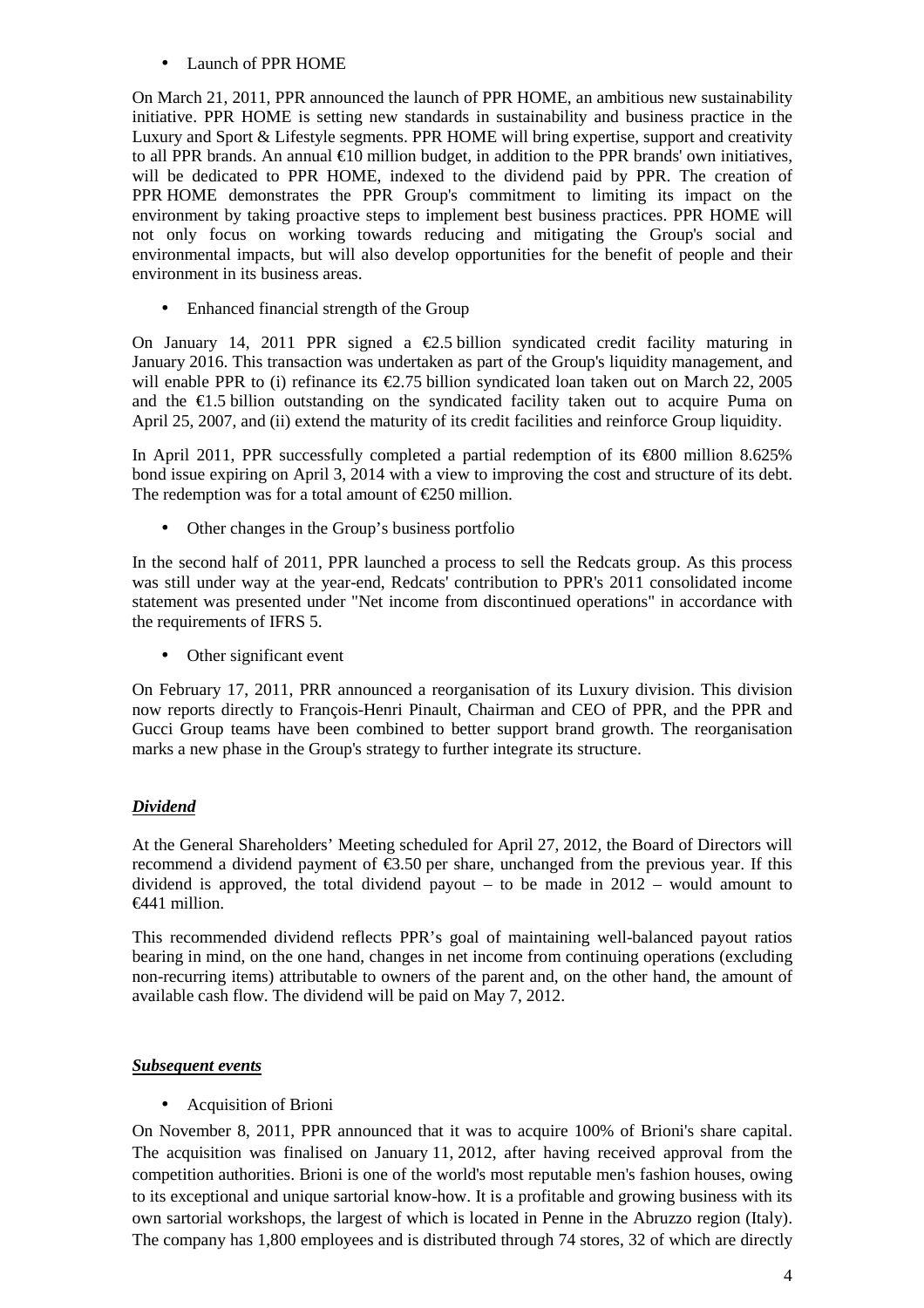• Launch of PPR HOME

On March 21, 2011, PPR announced the launch of PPR HOME, an ambitious new sustainability initiative. PPR HOME is setting new standards in sustainability and business practice in the Luxury and Sport & Lifestyle segments. PPR HOME will bring expertise, support and creativity to all PPR brands. An annual  $\epsilon$ 10 million budget, inaddition to the PPR brands' own initiatives, will be dedicated to PPR HOME, indexed to the dividend paid by PPR. The creation of PPR HOME demonstrates the PPR Group's commitment to limiting its impact on the environment by taking proactive steps to implement best business practices. PPR HOME will not only focus on working towards reducing and mitigating the Group's social and environmental impacts, but will also develop opportunities for the benefit of people and their environment in its business areas.

• Enhanced financial strength of the Group

On January 14, 2011 PPR signed a  $\epsilon$ 2.5 billion syndicated credit facility maturing in January 2016. This transaction was undertaken as part of the Group's liquidity management, and will enable PPR to (i) refinance its €2.75 billion syndicated loan taken out on March 22, 2005 and the  $E1.5$  billion outstanding on the syndicated facility taken out to acquire Puma on April 25, 2007, and (ii) extend the maturity of its credit facilities and reinforce Group liquidity.

In April 2011, PPR successfully completed a partial redemption of its  $\epsilon$ 800 million 8.625% bond issue expiring on April 3, 2014 with a view to improving the cost and structure of its debt. The redemption was for a total amount of  $\epsilon$ 250 million.

Other changes in the Group's business portfolio

In the second half of 2011, PPR launched a process to sell the Redcats group. As this process was still under way at the year-end, Redcats' contribution to PPR's 2011 consolidated income statement was presented under "Net income from discontinued operations" in accordance with the requirements of IFRS 5.

• Other significant event

On February 17, 2011, PRR announced a reorganisation of its Luxury division. This division now reports directly to François-Henri Pinault, Chairman and CEO of PPR, and the PPR and Gucci Group teams have been combined to better support brand growth. The reorganisation marks a new phase in the Group's strategy to further integrate its structure.

## *Dividend*

At the General Shareholders' Meeting scheduled for April 27, 2012, the Board of Directors will recommend a dividend payment of  $\epsilon$ 3.50 per share, unchanged from the previous year. If this dividend is approved, the total dividend payout – to be made in  $2012$  – would amount to €441 million.

This recommended dividend reflects PPR's goal of maintaining well-balanced payout ratios bearing in mind, on the one hand, changes in net income from continuing operations (excluding non-recurring items) attributable to owners of the parent and, on the other hand, the amount of available cash flow. The dividend will be paid on May 7, 2012.

## *Subsequent events*

• Acquisition of Brioni

On November 8, 2011, PPR announced that it was to acquire 100% of Brioni's share capital. The acquisition was finalised on January 11, 2012, after having received approval from the competition authorities. Brioni is one of the world's most reputable men's fashion houses, owing to its exceptional and unique sartorial know-how. It is a profitable and growing business with its own sartorial workshops, the largest of which is located in Penne in the Abruzzo region (Italy). The company has 1,800 employees and is distributed through 74 stores, 32 of which are directly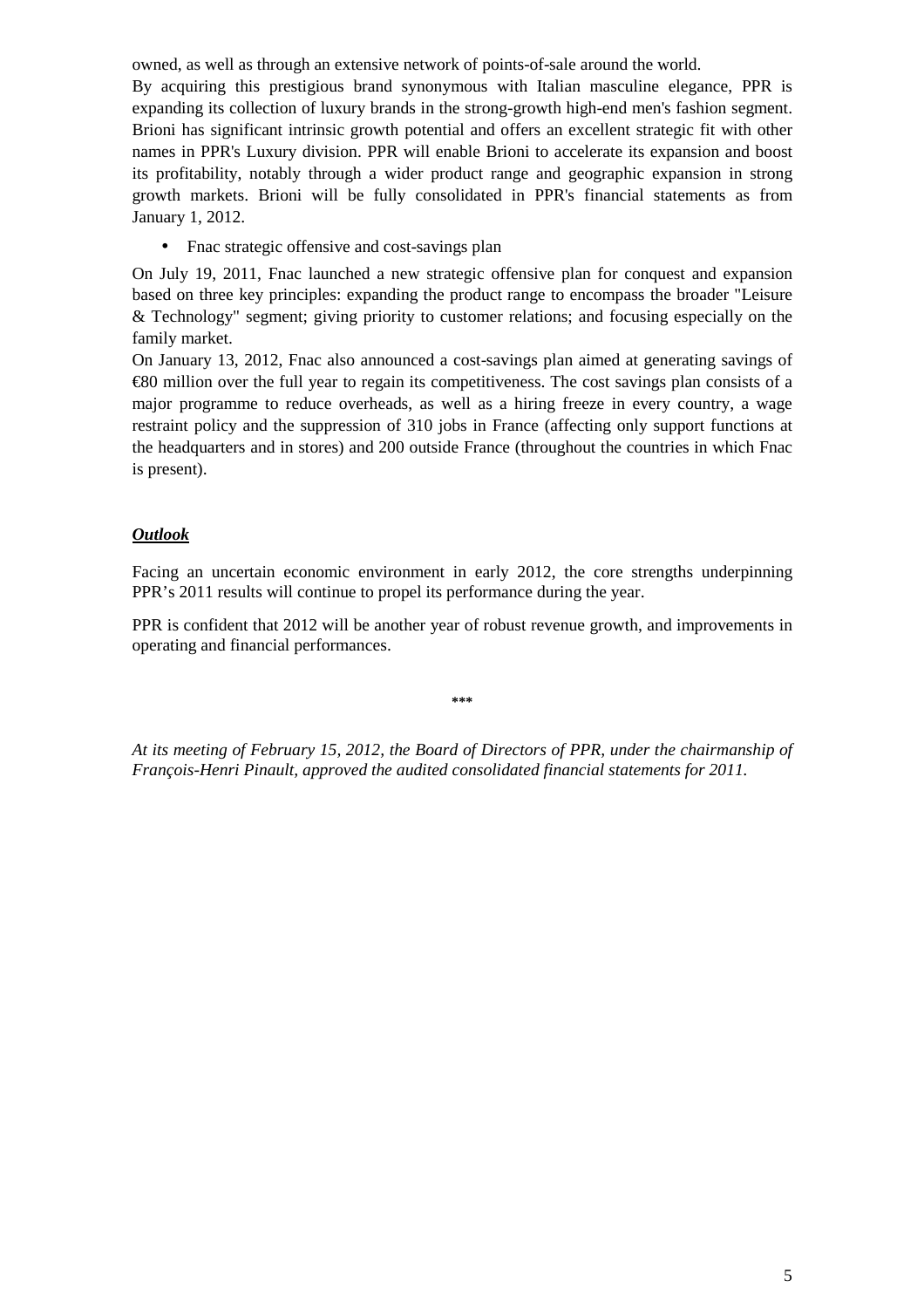owned, as well as through an extensive network of points-of-sale around the world.

By acquiring this prestigious brand synonymous with Italian masculine elegance, PPR is expanding its collection of luxury brands in the strong-growth high-end men's fashion segment. Brioni has significant intrinsic growth potential and offers an excellent strategic fit with other names in PPR's Luxury division. PPR will enable Brioni to accelerate its expansion and boost its profitability, notably through a wider product range and geographic expansion in strong growth markets. Brioni will be fully consolidated in PPR's financial statements as from January 1, 2012.

• Finac strategic offensive and cost-savings plan

On July 19, 2011, Fnac launched a new strategic offensive plan for conquest and expansion based on three key principles: expanding the product range to encompass the broader "Leisure & Technology" segment; giving priority to customer relations; and focusing especially on the family market.

On January 13, 2012, Fnac also announced a cost-savings plan aimed at generating savings of €80 million over the full year to regain its competitiveness. The cost savings plan consists of a major programme to reduce overheads, as well as a hiring freeze in every country, a wage restraint policy and the suppression of 310 jobs in France (affecting only support functions at the headquarters and in stores) and 200 outside France (throughout the countries in which Fnac is present).

## *Outlook*

Facing an uncertain economic environment in early 2012, the core strengths underpinning PPR's 2011 results will continue to propel its performance during the year.

PPR is confident that 2012 will be another year of robust revenue growth, and improvements in operating and financial performances.

**\*\*\*** 

*At its meeting of February 15, 2012, the Board of Directors of PPR, under the chairmanship of François-Henri Pinault, approved the audited consolidated financial statements for 2011.*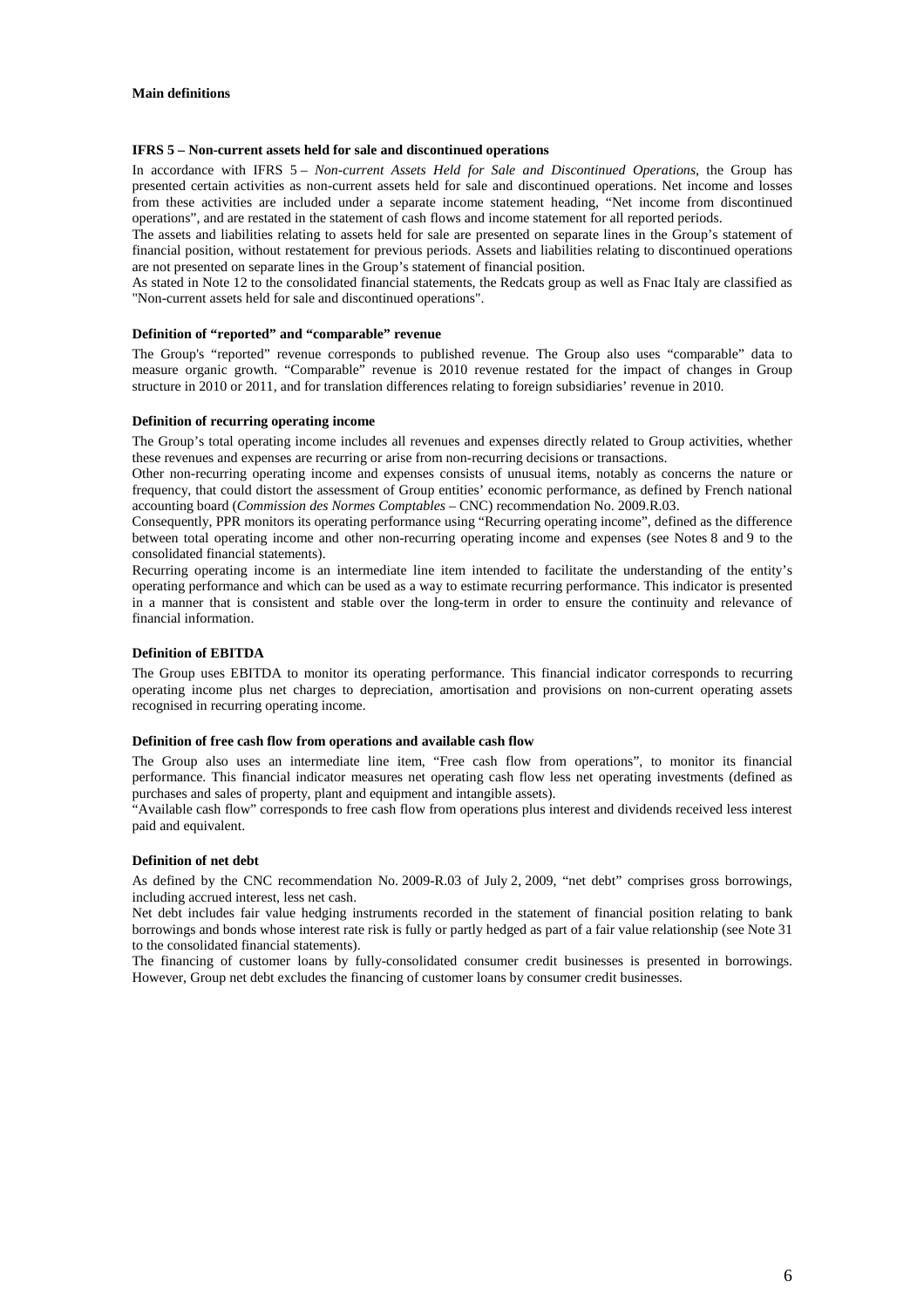#### **Main definitions**

#### **IFRS 5 – Non-current assets held for sale and discontinued operations**

In accordance with IFRS 5 – *Non-current Assets Held for Sale and Discontinued Operations*, the Group has presented certain activities as non-current assets held for sale and discontinued operations. Net income and losses from these activities are included under a separate income statement heading, "Net income from discontinued operations", and are restated in the statement of cash flows and income statement for all reported periods.

The assets and liabilities relating to assets held for sale are presented on separate lines in the Group's statement of financial position, without restatement for previous periods. Assets and liabilities relating to discontinued operations are not presented on separate lines in the Group's statement of financial position.

As stated in Note 12 to the consolidated financial statements, the Redcats group as well as Fnac Italy are classified as "Non-current assets held for sale and discontinued operations".

#### **Definition of "reported" and "comparable" revenue**

The Group's "reported" revenue corresponds to published revenue. The Group also uses "comparable" data to measure organic growth. "Comparable" revenue is 2010 revenue restated for the impact of changes in Group structure in 2010 or 2011, and for translation differences relating to foreign subsidiaries' revenue in 2010.

#### **Definition of recurring operating income**

The Group's total operating income includes all revenues and expenses directly related to Group activities, whether these revenues and expenses are recurring or arise from non-recurring decisions or transactions.

Other non-recurring operating income and expenses consists of unusual items, notably as concerns the nature or frequency, that could distort the assessment of Group entities' economic performance, as defined by French national accounting board (*Commission des Normes Comptables* – CNC) recommendation No. 2009.R.03.

Consequently, PPR monitors its operating performance using "Recurring operating income", defined as the difference between total operating income and other non-recurring operating income and expenses (see Notes 8 and 9 to the consolidated financial statements).

Recurring operating income is an intermediate line item intended to facilitate the understanding of the entity's operating performance and which can be used as a way to estimate recurring performance. This indicator is presented in a manner that is consistent and stable over the long-term in order to ensure the continuity and relevance of financial information.

#### **Definition of EBITDA**

The Group uses EBITDA to monitor its operating performance. This financial indicator corresponds to recurring operating income plus net charges to depreciation, amortisation and provisions on non-current operating assets recognised in recurring operating income.

#### **Definition of free cash flow from operations and available cash flow**

The Group also uses an intermediate line item, "Free cash flow from operations", to monitor its financial performance. This financial indicator measures net operating cash flow less net operating investments (defined as purchases and sales of property, plant and equipment and intangible assets).

"Available cash flow" corresponds to free cash flow from operations plus interest and dividends received less interest paid and equivalent.

#### **Definition of net debt**

As defined by the CNC recommendation No. 2009-R.03 of July 2, 2009, "net debt" comprises gross borrowings, including accrued interest, less net cash.

Net debt includes fair value hedging instruments recorded in the statement of financial position relating to bank borrowings and bonds whose interest rate risk is fully or partly hedged as part of a fair value relationship (see Note 31 to the consolidated financial statements).

The financing of customer loans by fully-consolidated consumer credit businesses is presented in borrowings. However, Group net debt excludes the financing of customer loans by consumer credit businesses.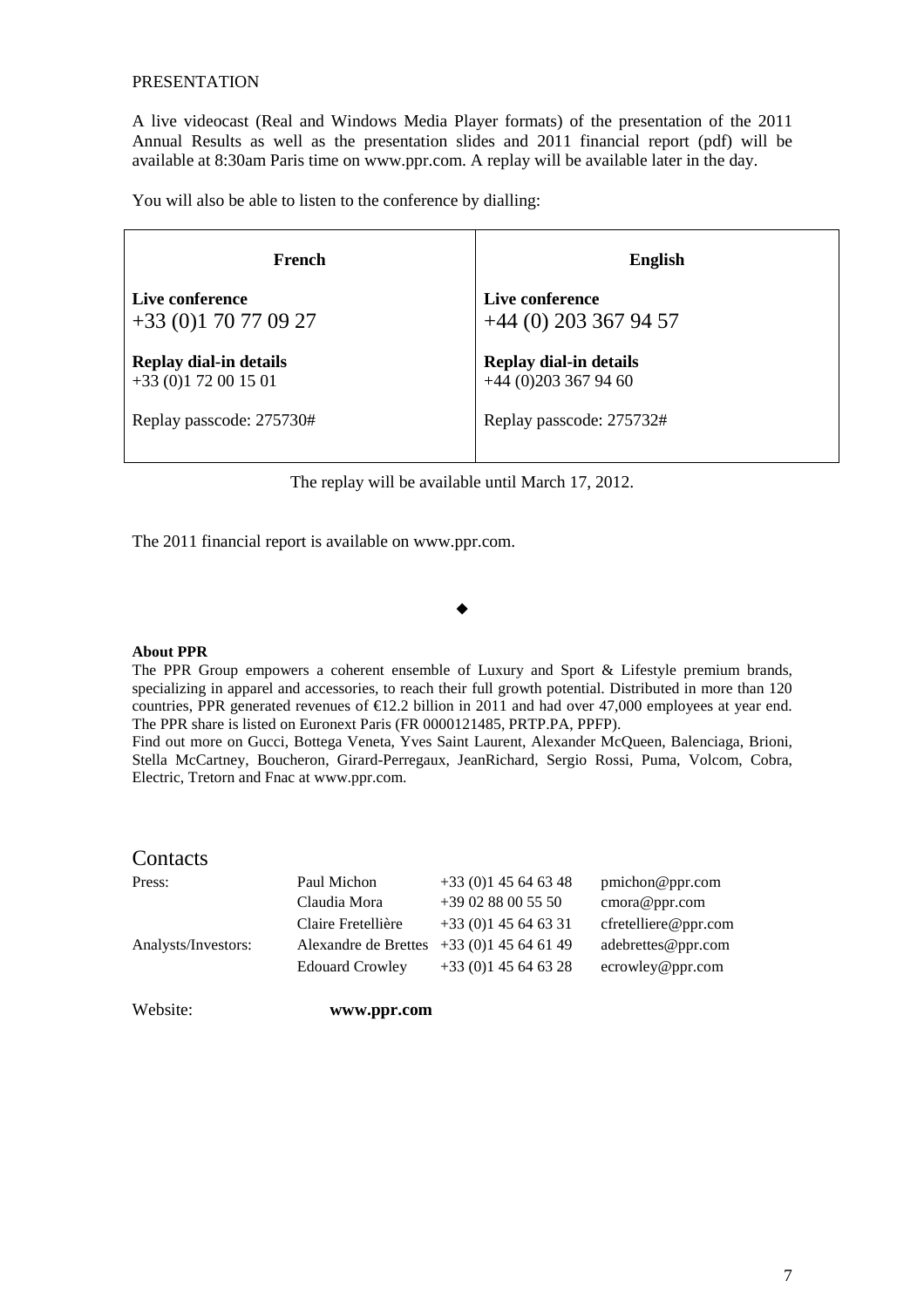### PRESENTATION

A live videocast (Real and Windows Media Player formats) of the presentation of the 2011 Annual Results as well as the presentation slides and 2011 financial report (pdf) will be available at 8:30am Paris time on www.ppr.com. A replay will be available later in the day.

You will also be able to listen to the conference by dialling:

| French                   | <b>English</b>                |
|--------------------------|-------------------------------|
| Live conference          | Live conference               |
| $+33(0)170770927$        | $+44$ (0) 203 367 94 57       |
| Replay dial-in details   | <b>Replay dial-in details</b> |
| $+33(0)172001501$        | $+44$ (0)203 367 94 60        |
| Replay passcode: 275730# | Replay passcode: 275732#      |

The replay will be available until March 17, 2012.

The 2011 financial report is available on www.ppr.com.

### ▲

#### **About PPR**

The PPR Group empowers a coherent ensemble of Luxury and Sport & Lifestyle premium brands, specializing in apparel and accessories, to reach their full growth potential. Distributed in more than 120 countries, PPR generated revenues of  $\epsilon$ 12.2 billion in 2011 and had over 47,000 employees at year end. The PPR share is listed on Euronext Paris (FR 0000121485, PRTP.PA, PPFP).

Find out more on Gucci, Bottega Veneta, Yves Saint Laurent, Alexander McQueen, Balenciaga, Brioni, Stella McCartney, Boucheron, Girard-Perregaux, JeanRichard, Sergio Rossi, Puma, Volcom, Cobra, Electric, Tretorn and Fnac at www.ppr.com.

### **Contacts**

| Press:              | Paul Michon            | $+33(0)145646348$ | p <sub>m</sub> ichon@ppr.com |
|---------------------|------------------------|-------------------|------------------------------|
|                     | Claudia Mora           | $+390288005550$   | cmora@ppr.com                |
|                     | Claire Fretellière     | $+33(0)145646331$ | cfretelliere@ppr.com         |
| Analysts/Investors: | Alexandre de Brettes   | $+33(0)145646149$ | adebrettes@ppr.com           |
|                     | <b>Edouard Crowley</b> | $+33(0)145646328$ | ecrowley@ppr.com             |
|                     |                        |                   |                              |

Website: **www.ppr.com**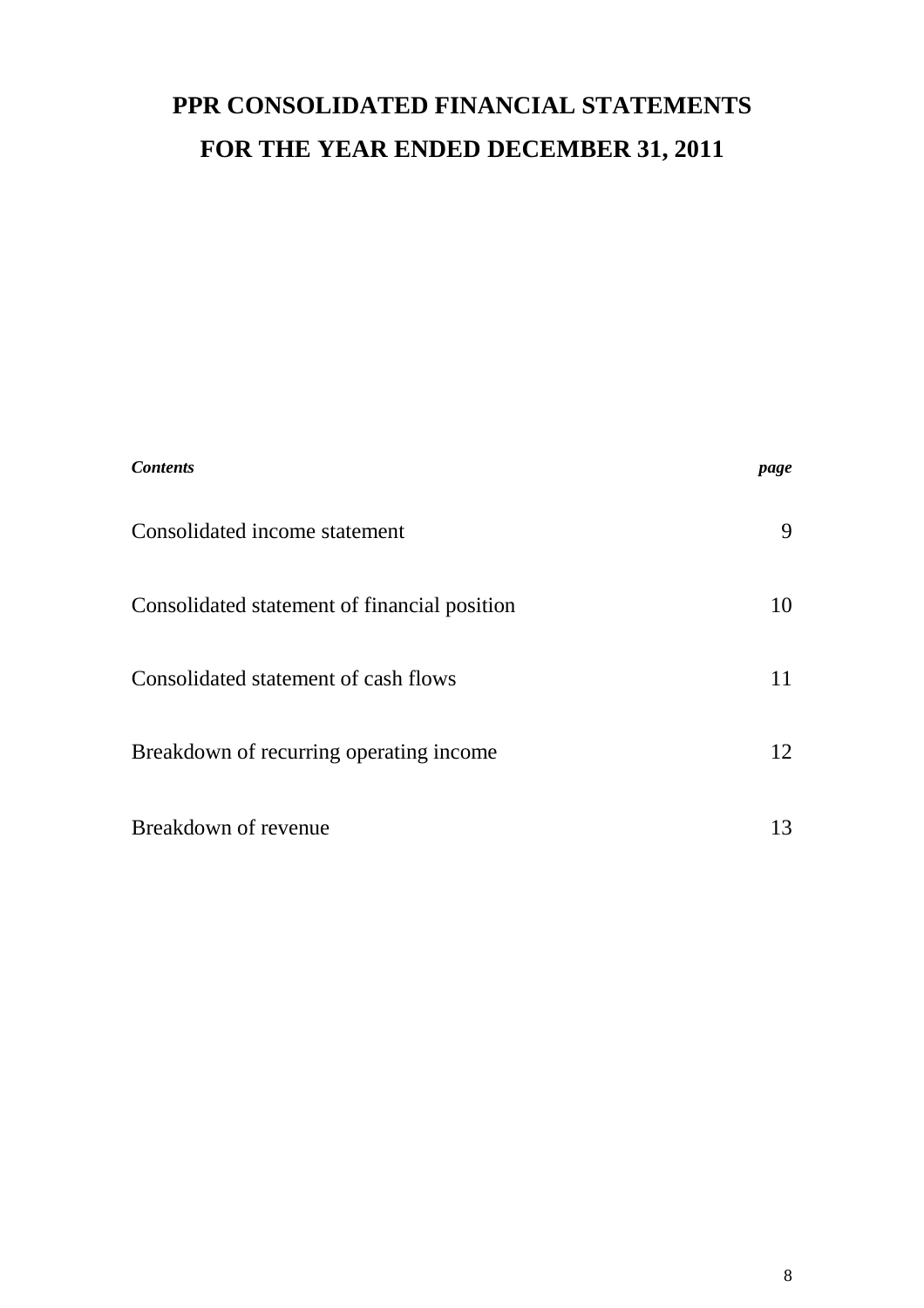# **PPR CONSOLIDATED FINANCIAL STATEMENTS FOR THE YEAR ENDED DECEMBER 31, 2011**

| <b>Contents</b>                              | page |
|----------------------------------------------|------|
| Consolidated income statement                | 9    |
| Consolidated statement of financial position | 10   |
| Consolidated statement of cash flows         | 11   |
| Breakdown of recurring operating income      | 12   |
| Breakdown of revenue                         | 13   |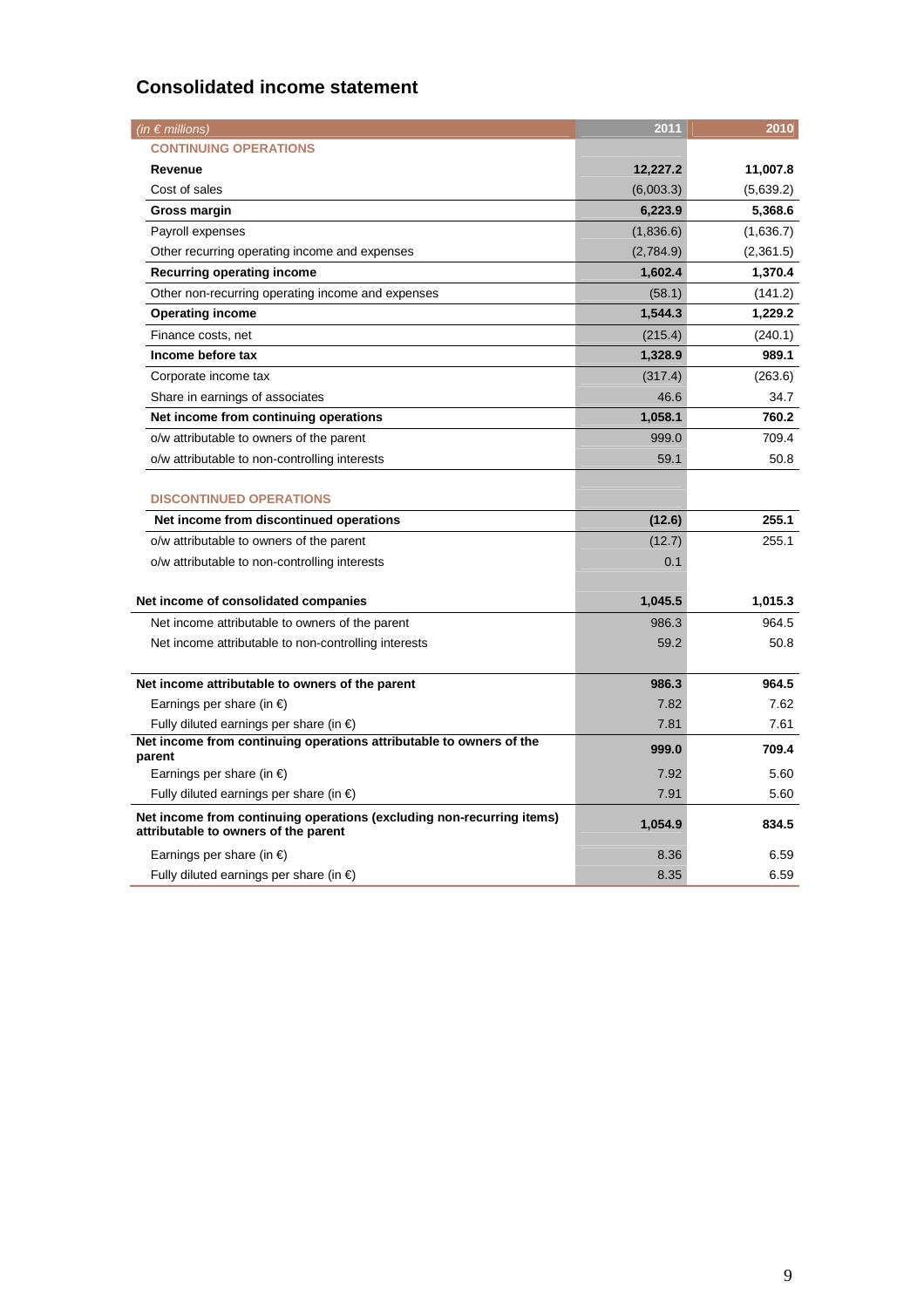## **Consolidated income statement**

| (in $\epsilon$ millions)                                                                                      | 2011      | 2010      |
|---------------------------------------------------------------------------------------------------------------|-----------|-----------|
| <b>CONTINUING OPERATIONS</b>                                                                                  |           |           |
| Revenue                                                                                                       | 12,227.2  | 11,007.8  |
| Cost of sales                                                                                                 | (6,003.3) | (5,639.2) |
| Gross margin                                                                                                  | 6,223.9   | 5,368.6   |
| Payroll expenses                                                                                              | (1,836.6) | (1,636.7) |
| Other recurring operating income and expenses                                                                 | (2,784.9) | (2,361.5) |
| Recurring operating income                                                                                    | 1,602.4   | 1,370.4   |
| Other non-recurring operating income and expenses                                                             | (58.1)    | (141.2)   |
| <b>Operating income</b>                                                                                       | 1,544.3   | 1,229.2   |
| Finance costs, net                                                                                            | (215.4)   | (240.1)   |
| Income before tax                                                                                             | 1,328.9   | 989.1     |
| Corporate income tax                                                                                          | (317.4)   | (263.6)   |
| Share in earnings of associates                                                                               | 46.6      | 34.7      |
| Net income from continuing operations                                                                         | 1,058.1   | 760.2     |
| o/w attributable to owners of the parent                                                                      | 999.0     | 709.4     |
| o/w attributable to non-controlling interests                                                                 | 59.1      | 50.8      |
| <b>DISCONTINUED OPERATIONS</b>                                                                                |           |           |
| Net income from discontinued operations                                                                       | (12.6)    | 255.1     |
| o/w attributable to owners of the parent                                                                      | (12.7)    | 255.1     |
| o/w attributable to non-controlling interests                                                                 | 0.1       |           |
|                                                                                                               |           |           |
| Net income of consolidated companies                                                                          | 1,045.5   | 1,015.3   |
| Net income attributable to owners of the parent                                                               | 986.3     | 964.5     |
| Net income attributable to non-controlling interests                                                          | 59.2      | 50.8      |
|                                                                                                               |           |           |
| Net income attributable to owners of the parent                                                               | 986.3     | 964.5     |
| Earnings per share (in $\epsilon$ )                                                                           | 7.82      | 7.62      |
| Fully diluted earnings per share (in $\epsilon$ )                                                             | 7.81      | 7.61      |
| Net income from continuing operations attributable to owners of the<br>parent                                 | 999.0     | 709.4     |
| Earnings per share (in $\epsilon$ )                                                                           | 7.92      | 5.60      |
| Fully diluted earnings per share (in $\epsilon$ )                                                             | 7.91      | 5.60      |
| Net income from continuing operations (excluding non-recurring items)<br>attributable to owners of the parent | 1,054.9   | 834.5     |
| Earnings per share (in $\epsilon$ )                                                                           | 8.36      | 6.59      |
| Fully diluted earnings per share (in $\epsilon$ )                                                             | 8.35      | 6.59      |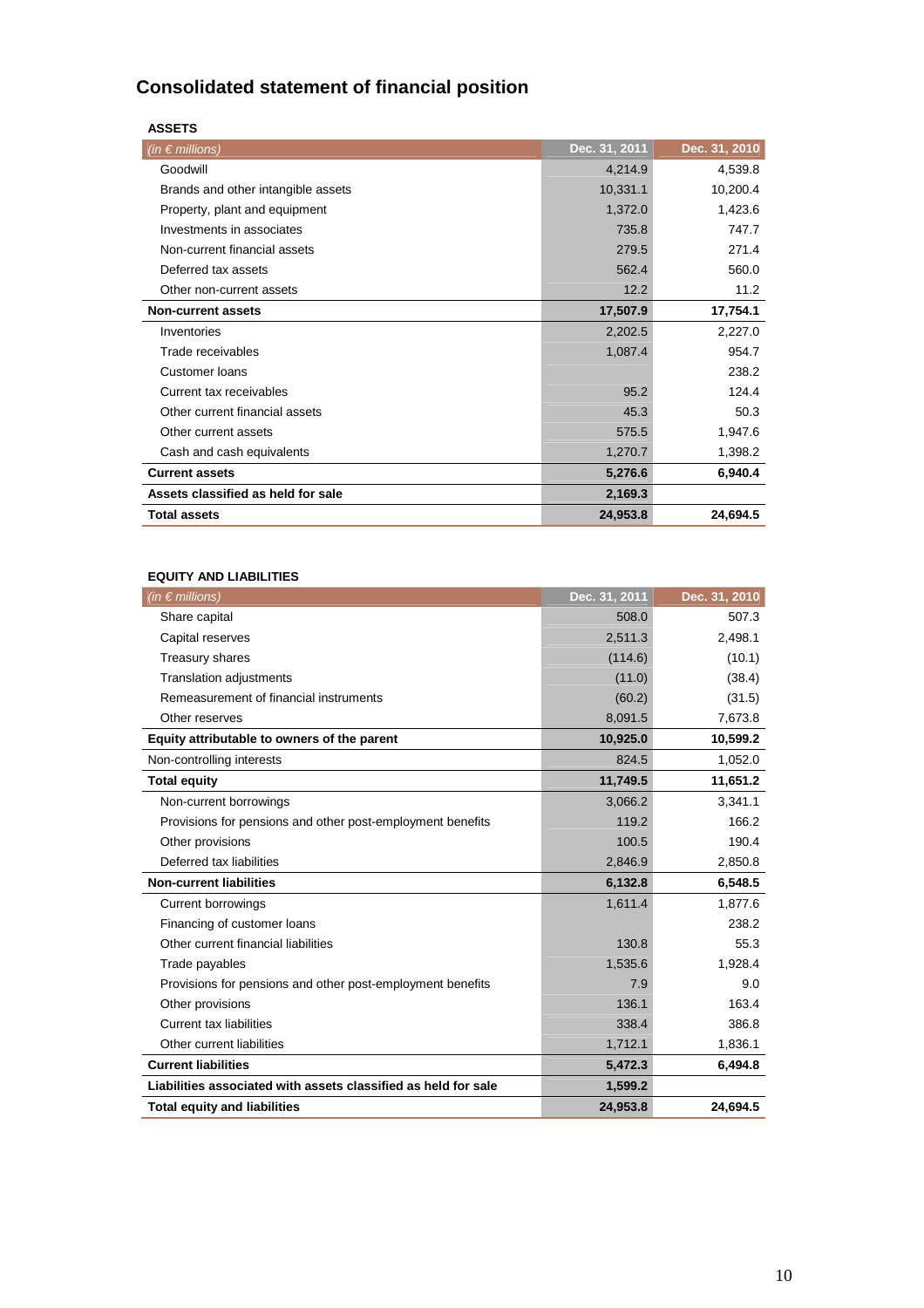## **Consolidated statement of financial position**

| SE<br>ΔS. |  |
|-----------|--|
| э         |  |

| (in $\epsilon$ millions)           | Dec. 31, 2011 | Dec. 31, 2010 |
|------------------------------------|---------------|---------------|
| Goodwill                           | 4,214.9       | 4,539.8       |
| Brands and other intangible assets | 10,331.1      | 10,200.4      |
| Property, plant and equipment      | 1,372.0       | 1,423.6       |
| Investments in associates          | 735.8         | 747.7         |
| Non-current financial assets       | 279.5         | 271.4         |
| Deferred tax assets                | 562.4         | 560.0         |
| Other non-current assets           | 12.2          | 11.2          |
| <b>Non-current assets</b>          | 17,507.9      | 17,754.1      |
| Inventories                        | 2,202.5       | 2,227.0       |
| Trade receivables                  | 1,087.4       | 954.7         |
| Customer loans                     |               | 238.2         |
| Current tax receivables            | 95.2          | 124.4         |
| Other current financial assets     | 45.3          | 50.3          |
| Other current assets               | 575.5         | 1,947.6       |
| Cash and cash equivalents          | 1,270.7       | 1,398.2       |
| <b>Current assets</b>              | 5,276.6       | 6,940.4       |
| Assets classified as held for sale | 2,169.3       |               |
| <b>Total assets</b>                | 24,953.8      | 24,694.5      |

## **EQUITY AND LIABILITIES**

| (in $\epsilon$ millions)                                       | Dec. 31, 2011 | Dec. 31, 2010 |
|----------------------------------------------------------------|---------------|---------------|
| Share capital                                                  | 508.0         | 507.3         |
| Capital reserves                                               | 2,511.3       | 2,498.1       |
| Treasury shares                                                | (114.6)       | (10.1)        |
| <b>Translation adjustments</b>                                 | (11.0)        | (38.4)        |
| Remeasurement of financial instruments                         | (60.2)        | (31.5)        |
| Other reserves                                                 | 8,091.5       | 7,673.8       |
| Equity attributable to owners of the parent                    | 10,925.0      | 10,599.2      |
| Non-controlling interests                                      | 824.5         | 1,052.0       |
| <b>Total equity</b>                                            | 11,749.5      | 11,651.2      |
| Non-current borrowings                                         | 3,066.2       | 3,341.1       |
| Provisions for pensions and other post-employment benefits     | 119.2         | 166.2         |
| Other provisions                                               | 100.5         | 190.4         |
| Deferred tax liabilities                                       | 2,846.9       | 2,850.8       |
| <b>Non-current liabilities</b>                                 | 6,132.8       | 6,548.5       |
| <b>Current borrowings</b>                                      | 1,611.4       | 1,877.6       |
| Financing of customer loans                                    |               | 238.2         |
| Other current financial liabilities                            | 130.8         | 55.3          |
| Trade payables                                                 | 1,535.6       | 1,928.4       |
| Provisions for pensions and other post-employment benefits     | 7.9           | 9.0           |
| Other provisions                                               | 136.1         | 163.4         |
| <b>Current tax liabilities</b>                                 | 338.4         | 386.8         |
| Other current liabilities                                      | 1,712.1       | 1,836.1       |
| <b>Current liabilities</b>                                     | 5,472.3       | 6,494.8       |
| Liabilities associated with assets classified as held for sale | 1,599.2       |               |
| <b>Total equity and liabilities</b>                            | 24,953.8      | 24,694.5      |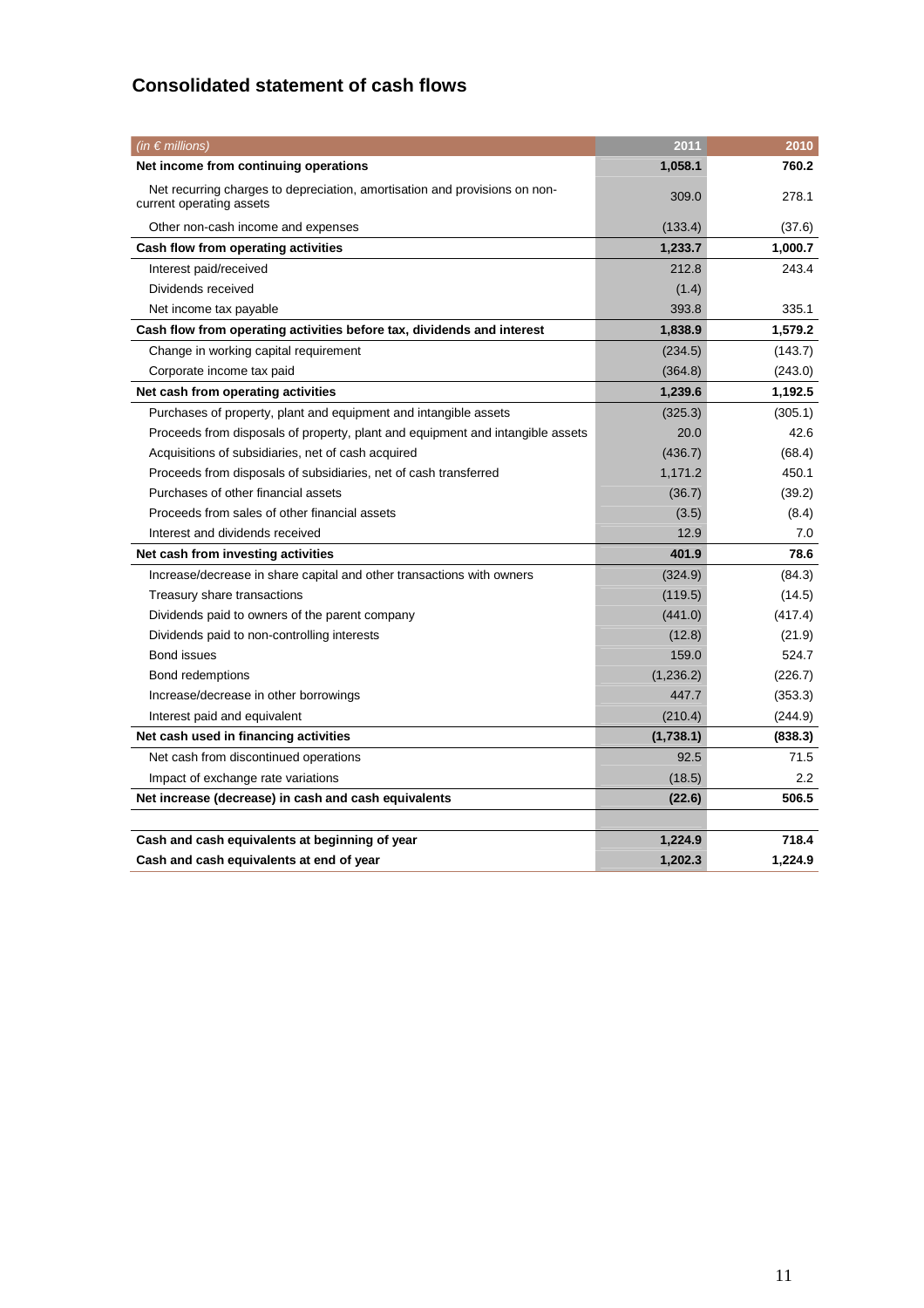## **Consolidated statement of cash flows**

| (in $\epsilon$ millions)                                                                               | 2011      | 2010    |
|--------------------------------------------------------------------------------------------------------|-----------|---------|
| Net income from continuing operations                                                                  | 1,058.1   | 760.2   |
| Net recurring charges to depreciation, amortisation and provisions on non-<br>current operating assets | 309.0     | 278.1   |
| Other non-cash income and expenses                                                                     | (133.4)   | (37.6)  |
| Cash flow from operating activities                                                                    | 1,233.7   | 1,000.7 |
| Interest paid/received                                                                                 | 212.8     | 243.4   |
| Dividends received                                                                                     | (1.4)     |         |
| Net income tax payable                                                                                 | 393.8     | 335.1   |
| Cash flow from operating activities before tax, dividends and interest                                 | 1,838.9   | 1,579.2 |
| Change in working capital requirement                                                                  | (234.5)   | (143.7) |
| Corporate income tax paid                                                                              | (364.8)   | (243.0) |
| Net cash from operating activities                                                                     | 1,239.6   | 1,192.5 |
| Purchases of property, plant and equipment and intangible assets                                       | (325.3)   | (305.1) |
| Proceeds from disposals of property, plant and equipment and intangible assets                         | 20.0      | 42.6    |
| Acquisitions of subsidiaries, net of cash acquired                                                     | (436.7)   | (68.4)  |
| Proceeds from disposals of subsidiaries, net of cash transferred                                       | 1,171.2   | 450.1   |
| Purchases of other financial assets                                                                    | (36.7)    | (39.2)  |
| Proceeds from sales of other financial assets                                                          | (3.5)     | (8.4)   |
| Interest and dividends received                                                                        | 12.9      | 7.0     |
| Net cash from investing activities                                                                     | 401.9     | 78.6    |
| Increase/decrease in share capital and other transactions with owners                                  | (324.9)   | (84.3)  |
| Treasury share transactions                                                                            | (119.5)   | (14.5)  |
| Dividends paid to owners of the parent company                                                         | (441.0)   | (417.4) |
| Dividends paid to non-controlling interests                                                            | (12.8)    | (21.9)  |
| Bond issues                                                                                            | 159.0     | 524.7   |
| Bond redemptions                                                                                       | (1,236.2) | (226.7) |
| Increase/decrease in other borrowings                                                                  | 447.7     | (353.3) |
| Interest paid and equivalent                                                                           | (210.4)   | (244.9) |
| Net cash used in financing activities                                                                  | (1,738.1) | (838.3) |
| Net cash from discontinued operations                                                                  | 92.5      | 71.5    |
| Impact of exchange rate variations                                                                     | (18.5)    | 2.2     |
| Net increase (decrease) in cash and cash equivalents                                                   | (22.6)    | 506.5   |
|                                                                                                        |           |         |
| Cash and cash equivalents at beginning of year                                                         | 1,224.9   | 718.4   |
| Cash and cash equivalents at end of year                                                               | 1,202.3   | 1,224.9 |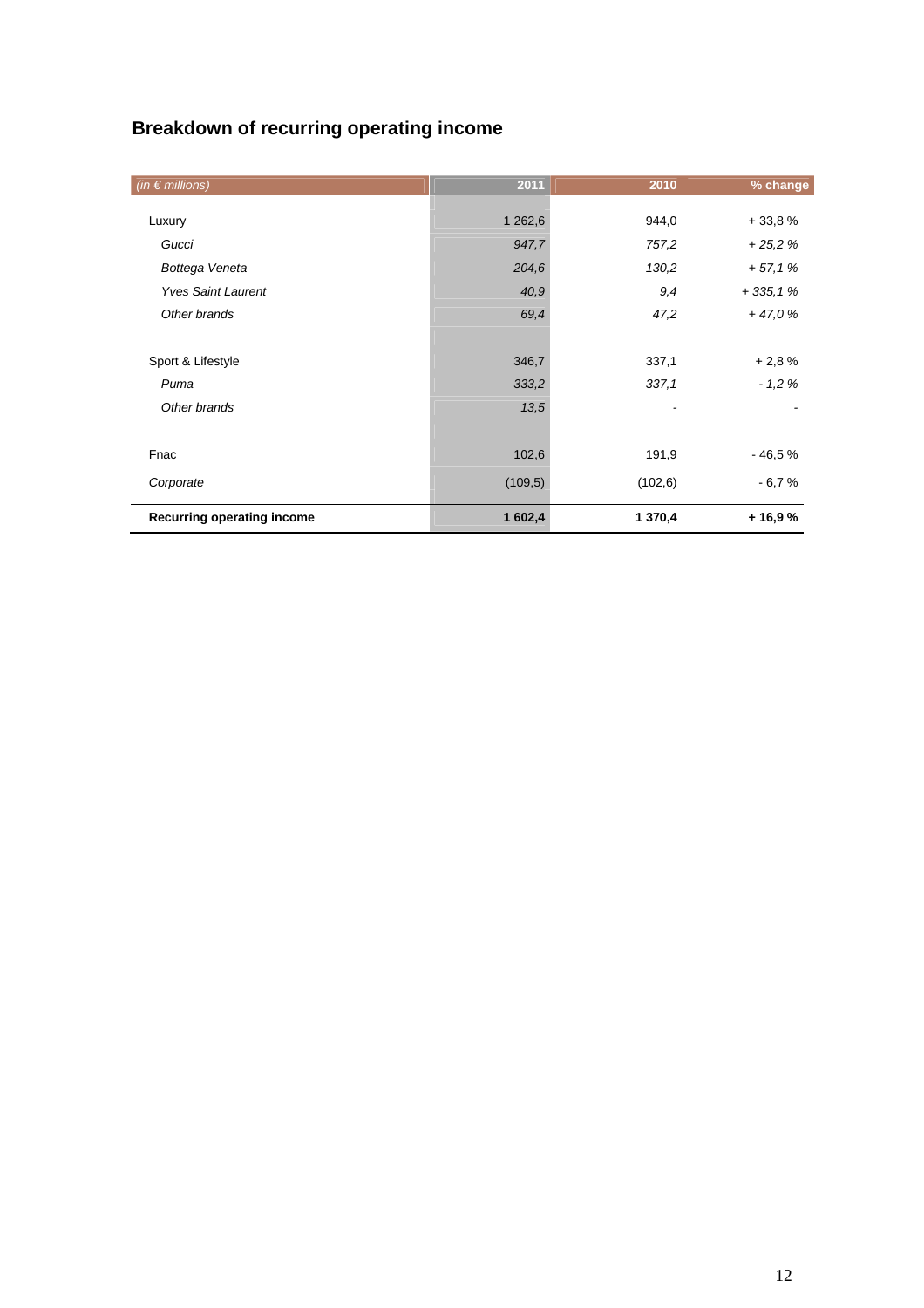## **Breakdown of recurring operating income**

| (in $\epsilon$ millions)   | 2011    | 2010     | % change  |
|----------------------------|---------|----------|-----------|
| Luxury                     | 1 262,6 | 944,0    | $+33,8%$  |
| Gucci                      | 947,7   | 757,2    | $+25.2%$  |
| Bottega Veneta             | 204,6   | 130,2    | $+57,1%$  |
| <b>Yves Saint Laurent</b>  | 40,9    | 9,4      | $+335,1%$ |
| Other brands               | 69,4    | 47,2     | $+47,0%$  |
|                            |         |          |           |
| Sport & Lifestyle          | 346,7   | 337,1    | $+2,8%$   |
| Puma                       | 333,2   | 337,1    | $-1.2%$   |
| Other brands               | 13,5    |          |           |
|                            |         |          |           |
| Fnac                       | 102,6   | 191,9    | $-46.5%$  |
| Corporate                  | (109,5) | (102, 6) | $-6,7%$   |
| Recurring operating income | 1 602,4 | 1 370,4  | $+16,9%$  |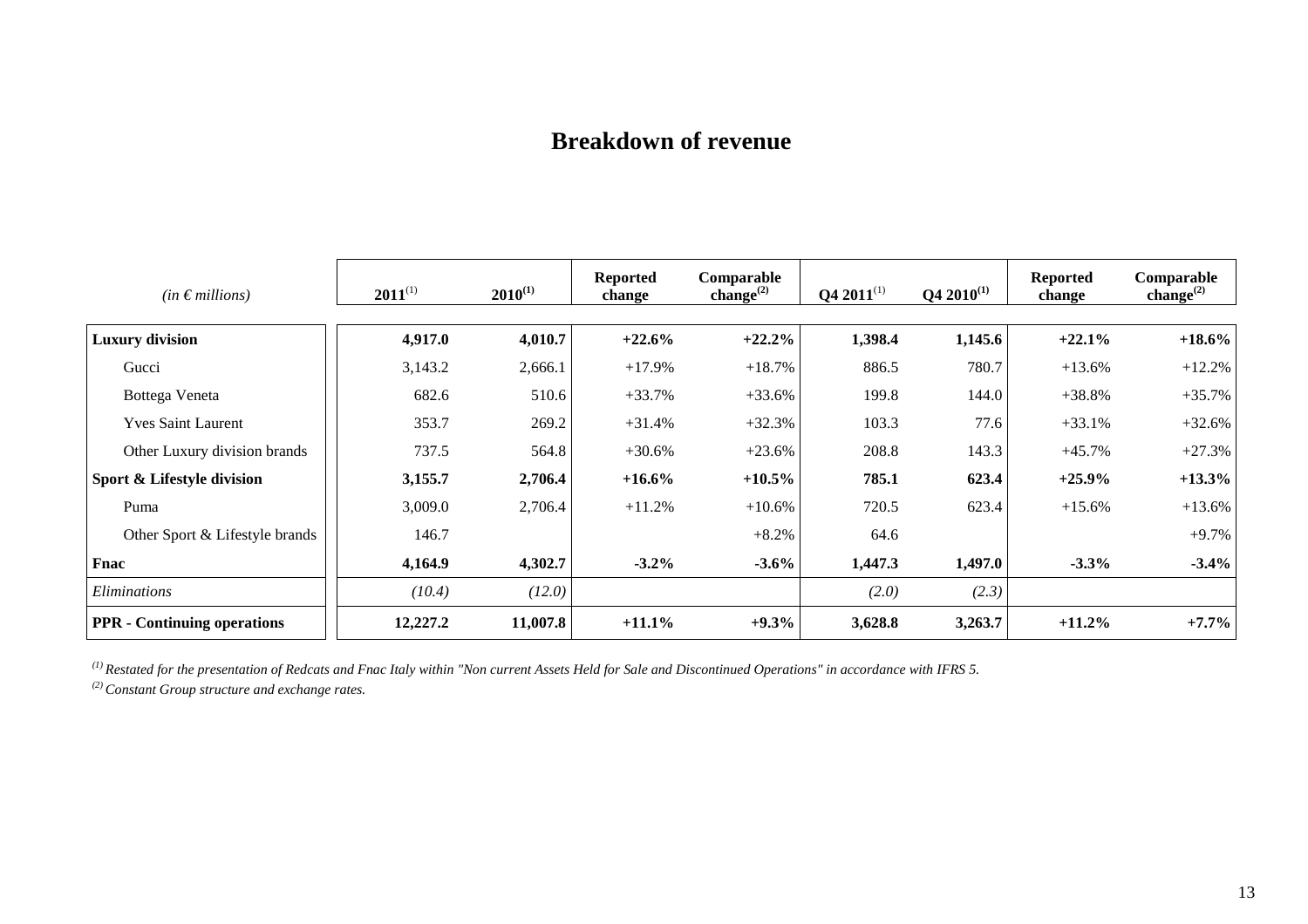## **Breakdown of revenue**

| $(in \in millions)$                | $2011^{(1)}$ | $2010^{(1)}$ | <b>Reported</b><br>change | Comparable<br>change $^{(2)}$ | $Q4 2011^{(1)}$ | $Q4 2010^{(1)}$ | <b>Reported</b><br>change | Comparable<br>change $^{(2)}$ |
|------------------------------------|--------------|--------------|---------------------------|-------------------------------|-----------------|-----------------|---------------------------|-------------------------------|
|                                    |              |              |                           |                               |                 |                 |                           |                               |
| <b>Luxury division</b>             | 4,917.0      | 4,010.7      | $+22.6%$                  | $+22.2%$                      | 1,398.4         | 1,145.6         | $+22.1%$                  | $+18.6\%$                     |
| Gucci                              | 3,143.2      | 2,666.1      | $+17.9%$                  | $+18.7%$                      | 886.5           | 780.7           | $+13.6%$                  | $+12.2%$                      |
| Bottega Veneta                     | 682.6        | 510.6        | $+33.7%$                  | $+33.6%$                      | 199.8           | 144.0           | $+38.8%$                  | $+35.7%$                      |
| <b>Yves Saint Laurent</b>          | 353.7        | 269.2        | $+31.4%$                  | $+32.3%$                      | 103.3           | 77.6            | $+33.1%$                  | $+32.6%$                      |
| Other Luxury division brands       | 737.5        | 564.8        | $+30.6%$                  | $+23.6%$                      | 208.8           | 143.3           | $+45.7%$                  | $+27.3%$                      |
| Sport & Lifestyle division         | 3,155.7      | 2,706.4      | $+16.6%$                  | $+10.5\%$                     | 785.1           | 623.4           | $+25.9%$                  | $+13.3\%$                     |
| Puma                               | 3,009.0      | 2,706.4      | $+11.2%$                  | $+10.6%$                      | 720.5           | 623.4           | $+15.6%$                  | $+13.6%$                      |
| Other Sport & Lifestyle brands     | 146.7        |              |                           | $+8.2%$                       | 64.6            |                 |                           | $+9.7%$                       |
| Fnac                               | 4,164.9      | 4,302.7      | $-3.2\%$                  | $-3.6%$                       | 1,447.3         | 1,497.0         | $-3.3%$                   | $-3.4%$                       |
| Eliminations                       | (10.4)       | (12.0)       |                           |                               | (2.0)           | (2.3)           |                           |                               |
| <b>PPR</b> - Continuing operations | 12,227.2     | 11,007.8     | $+11.1\%$                 | $+9.3%$                       | 3,628.8         | 3,263.7         | $+11.2\%$                 | $+7.7%$                       |

*(1) Restated for the presentation of Redcats and Fnac Italy within "Non current Assets Held for Sale and Discontinued Operations" in accordance with IFRS 5.*

*(2) Constant Group structure and exchange rates.*